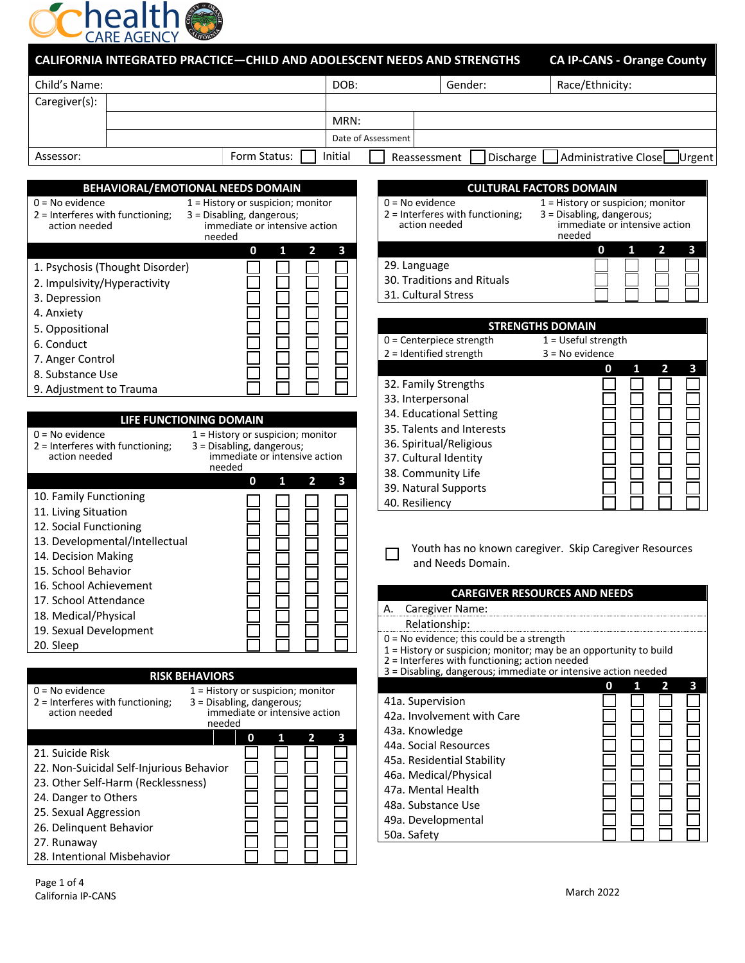

| ------------<br><b>CALIFORNIA INTEGRATED PRACTICE-CHILD AND ADOLESCENT NEEDS AND STRENGTHS</b>                                                                                                                                                         |                         |             |                                                                                                                                                     | <b>CA IP-CANS - Orange County</b>                                                                         |
|--------------------------------------------------------------------------------------------------------------------------------------------------------------------------------------------------------------------------------------------------------|-------------------------|-------------|-----------------------------------------------------------------------------------------------------------------------------------------------------|-----------------------------------------------------------------------------------------------------------|
| Child's Name:                                                                                                                                                                                                                                          | DOB:                    |             | Gender:                                                                                                                                             | Race/Ethnicity:                                                                                           |
| Caregiver(s):                                                                                                                                                                                                                                          |                         |             |                                                                                                                                                     |                                                                                                           |
|                                                                                                                                                                                                                                                        | MRN:                    |             |                                                                                                                                                     |                                                                                                           |
|                                                                                                                                                                                                                                                        | Date of Assessment      |             |                                                                                                                                                     |                                                                                                           |
| Form Status:<br>Assessor:                                                                                                                                                                                                                              | Initial                 |             | Reassessment<br>Discharge                                                                                                                           | Administrative Close<br>Urgent                                                                            |
|                                                                                                                                                                                                                                                        |                         |             |                                                                                                                                                     |                                                                                                           |
| BEHAVIORAL/EMOTIONAL NEEDS DOMAIN                                                                                                                                                                                                                      |                         |             |                                                                                                                                                     | <b>CULTURAL FACTORS DOMAIN</b>                                                                            |
| $0 = No$ evidence<br>1 = History or suspicion; monitor<br>2 = Interferes with functioning;<br>3 = Disabling, dangerous;<br>immediate or intensive action<br>action needed<br>needed                                                                    |                         |             | $0 = No$ evidence<br>2 = Interferes with functioning;<br>action needed                                                                              | 1 = History or suspicion; monitor<br>3 = Disabling, dangerous;<br>immediate or intensive action<br>needed |
| $\overline{\mathbf{2}}$<br>0<br>1<br>1. Psychosis (Thought Disorder)<br>2. Impulsivity/Hyperactivity<br>3. Depression<br>4. Anxiety                                                                                                                    | 3                       |             | 29. Language<br>30. Traditions and Rituals<br>31. Cultural Stress                                                                                   | $\overline{2}$<br>3<br>$\mathbf 0$<br>1<br><b>STRENGTHS DOMAIN</b>                                        |
| 5. Oppositional<br>6. Conduct<br>7. Anger Control<br>8. Substance Use<br>9. Adjustment to Trauma                                                                                                                                                       |                         |             | $0 =$ Centerpiece strength<br>2 = Identified strength<br>32. Family Strengths                                                                       | $\overline{1}$ = Useful strength<br>$3 = No$ evidence<br>$\overline{\mathbf{2}}$<br>3<br>0<br>1           |
| LIFE FUNCTIONING DOMAIN<br>$0 = No$ evidence<br>1 = History or suspicion; monitor<br>2 = Interferes with functioning;<br>3 = Disabling, dangerous;<br>immediate or intensive action<br>action needed<br>needed                                         |                         |             | 33. Interpersonal<br>34. Educational Setting<br>35. Talents and Interests<br>36. Spiritual/Religious<br>37. Cultural Identity<br>38. Community Life |                                                                                                           |
| 0<br>1<br>2<br>10. Family Functioning<br>11. Living Situation<br>12. Social Functioning<br>13. Developmental/Intellectual                                                                                                                              | 3                       |             | 39. Natural Supports<br>40. Resiliency                                                                                                              | Youth has no known caregiver. Skip Caregiver Resources                                                    |
| 14. Decision Making<br>15. School Behavior<br>16. School Achievement<br>17. School Attendance<br>18. Medical/Physical<br>19. Sexual Development<br>20. Sleep                                                                                           |                         |             | and Needs Domain.<br>A. Caregiver Name:<br>Relationship:<br>$0 = No$ evidence; this could be a strength                                             | <b>CAREGIVER RESOURCES AND NEEDS</b><br>1 = History or suspicion; monitor; may be an opportunity to build |
| <b>RISK BEHAVIORS</b><br>$0 = No$ evidence<br>1 = History or suspicion; monitor<br>2 = Interferes with functioning;<br>3 = Disabling, dangerous;<br>immediate or intensive action<br>action needed<br>needed                                           |                         |             | $2$ = Interferes with functioning; action needed<br>41a. Supervision<br>42a. Involvement with Care<br>43a. Knowledge                                | 3 = Disabling, dangerous; immediate or intensive action needed<br>$\overline{2}$<br>0<br>1<br>3           |
| $\mathbf{2}$<br>0<br>1<br>21. Suicide Risk<br>22. Non-Suicidal Self-Injurious Behavior<br>23. Other Self-Harm (Recklessness)<br>24. Danger to Others<br>25. Sexual Aggression<br>26. Delinquent Behavior<br>27. Runaway<br>28. Intentional Misbehavior | $\overline{\mathbf{3}}$ | 50a. Safety | 44a. Social Resources<br>45a. Residential Stability<br>46a. Medical/Physical<br>47a. Mental Health<br>48a. Substance Use<br>49a. Developmental      |                                                                                                           |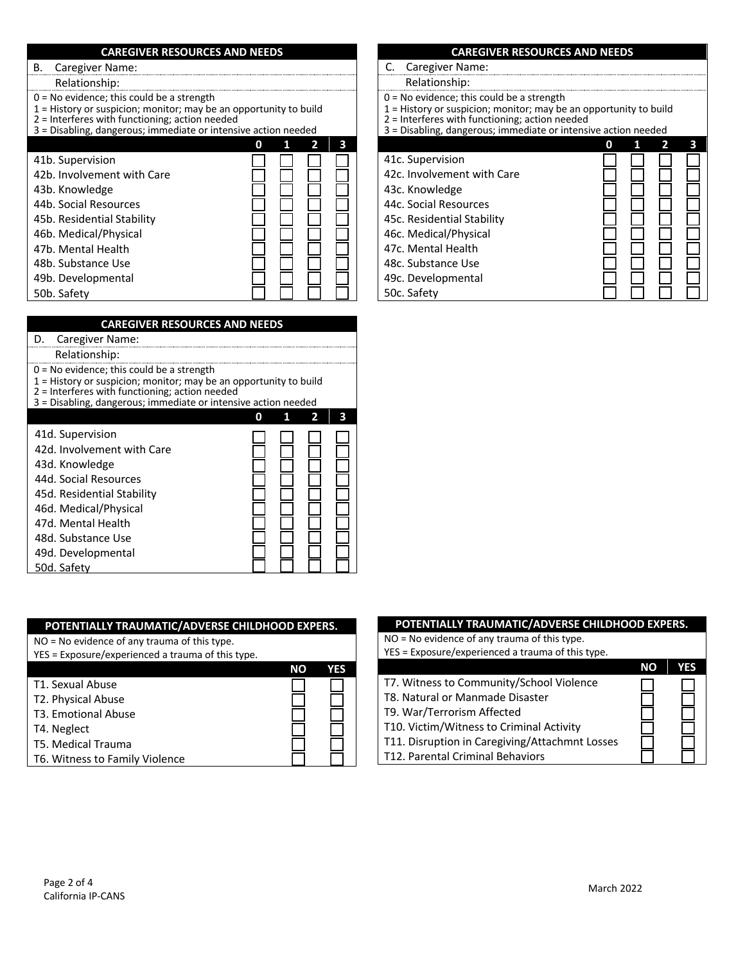| <b>CAREGIVER RESOURCES AND NEEDS</b>                                                                                                                                                                                                   |        |
|----------------------------------------------------------------------------------------------------------------------------------------------------------------------------------------------------------------------------------------|--------|
| Caregiver Name:<br>В.                                                                                                                                                                                                                  |        |
| Relationship:                                                                                                                                                                                                                          |        |
| $0 = No$ evidence; this could be a strength<br>1 = History or suspicion; monitor; may be an opportunity to build<br>$2$ = Interferes with functioning; action needed<br>3 = Disabling, dangerous; immediate or intensive action needed |        |
|                                                                                                                                                                                                                                        | 3<br>n |
| 41b. Supervision                                                                                                                                                                                                                       |        |
| 42b. Involvement with Care                                                                                                                                                                                                             |        |
| 43b. Knowledge                                                                                                                                                                                                                         |        |
| 44b. Social Resources                                                                                                                                                                                                                  |        |
| 45b. Residential Stability                                                                                                                                                                                                             |        |
| 46b. Medical/Physical                                                                                                                                                                                                                  |        |
| 47b. Mental Health                                                                                                                                                                                                                     |        |
| 48b. Substance Use                                                                                                                                                                                                                     |        |
| 49b. Developmental                                                                                                                                                                                                                     |        |
| 50b. Safety                                                                                                                                                                                                                            |        |
|                                                                                                                                                                                                                                        |        |

| <b>CAREGIVER RESOURCES AND NEEDS</b>                                                                                                                                                                                                   |  |   |  |
|----------------------------------------------------------------------------------------------------------------------------------------------------------------------------------------------------------------------------------------|--|---|--|
| Caregiver Name:                                                                                                                                                                                                                        |  |   |  |
| Relationship:                                                                                                                                                                                                                          |  |   |  |
| $0 = No$ evidence; this could be a strength<br>1 = History or suspicion; monitor; may be an opportunity to build<br>$2$ = Interferes with functioning; action needed<br>3 = Disabling, dangerous; immediate or intensive action needed |  |   |  |
|                                                                                                                                                                                                                                        |  | 7 |  |
| 41d. Supervision                                                                                                                                                                                                                       |  |   |  |
| 42d. Involvement with Care                                                                                                                                                                                                             |  |   |  |
| 43d. Knowledge                                                                                                                                                                                                                         |  |   |  |
| 44d. Social Resources                                                                                                                                                                                                                  |  |   |  |
| 45d. Residential Stability                                                                                                                                                                                                             |  |   |  |
| 46d. Medical/Physical                                                                                                                                                                                                                  |  |   |  |
| 47d. Mental Health                                                                                                                                                                                                                     |  |   |  |
| 48d. Substance Use                                                                                                                                                                                                                     |  |   |  |
| 49d. Developmental                                                                                                                                                                                                                     |  |   |  |
| 50d. Safety                                                                                                                                                                                                                            |  |   |  |

## **POTENTIALLY TRAUMATIC/ADVERSE CHILDHOOD EXPERS.**

NO = No evidence of any trauma of this type.

YES = Exposure/experienced a trauma of this type.

|                                | NΟ | YES |
|--------------------------------|----|-----|
| T1. Sexual Abuse               |    |     |
| T2. Physical Abuse             |    |     |
| T3. Emotional Abuse            |    |     |
| T4. Neglect                    |    |     |
| <b>T5. Medical Trauma</b>      |    |     |
| T6. Witness to Family Violence |    |     |

## **CAREGIVER RESOURCES AND NEEDS** C. Caregiver Name: Relationship: 0 = No evidence; this could be a strength 1 = History or suspicion; monitor; may be an opportunity to build 2 = Interferes with functioning; action needed 3 = Disabling, dangerous; immediate or intensive action needed **0 1 2 3**  41c. Supervision 42c. Involvement with Care 43c. Knowledge 44c. Social Resources 45c. Residential Stability 46c. Medical/Physical 47c. Mental Health 48c. Substance Use 49c. Developmental 50c. Safety

| POTENTIALLY TRAUMATIC/ADVERSE CHILDHOOD EXPERS.   |           |     |
|---------------------------------------------------|-----------|-----|
| NO = No evidence of any trauma of this type.      |           |     |
| YES = Exposure/experienced a trauma of this type. |           |     |
|                                                   | <b>NO</b> | YES |
| T7. Witness to Community/School Violence          |           |     |
| T8. Natural or Manmade Disaster                   |           |     |
| T9. War/Terrorism Affected                        |           |     |
| T10. Victim/Witness to Criminal Activity          |           |     |
| T11. Disruption in Caregiving/Attachmnt Losses    |           |     |
| T12. Parental Criminal Behaviors                  |           |     |
|                                                   |           |     |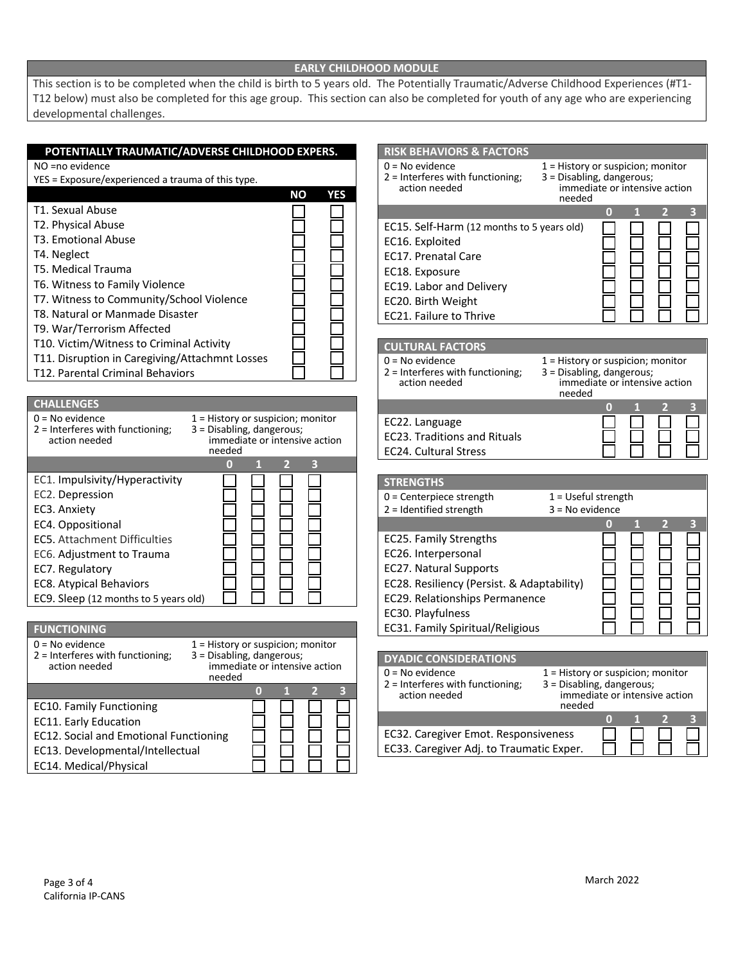## **EARLY CHILDHOOD MODULE**

This section is to be completed when the child is birth to 5 years old. The Potentially Traumatic/Adverse Childhood Experiences (#T1- T12 below) must also be completed for this age group. This section can also be completed for youth of any age who are experiencing developmental challenges.

| POTENTIALLY TRAUMATIC/ADVERSE CHILDHOOD EXPERS.                                                                 | <b>RISK BEHAVIORS &amp; FACTORS</b>                                                                             |
|-----------------------------------------------------------------------------------------------------------------|-----------------------------------------------------------------------------------------------------------------|
| NO =no evidence                                                                                                 | $0 = No$ evidence<br>1 = History or suspicion; monitor                                                          |
| YES = Exposure/experienced a trauma of this type.                                                               | 2 = Interferes with functioning;<br>3 = Disabling, dangerous;                                                   |
| <b>NO</b><br><b>YES</b>                                                                                         | action needed<br>immediate or intensive action<br>needed                                                        |
| T1. Sexual Abuse                                                                                                | $\bf{0}$                                                                                                        |
| T2. Physical Abuse                                                                                              | EC15. Self-Harm (12 months to 5 years old)                                                                      |
| T3. Emotional Abuse                                                                                             | EC16. Exploited                                                                                                 |
| T4. Neglect                                                                                                     | <b>EC17. Prenatal Care</b>                                                                                      |
| T5. Medical Trauma                                                                                              | EC18. Exposure                                                                                                  |
| T6. Witness to Family Violence                                                                                  | EC19. Labor and Delivery                                                                                        |
| T7. Witness to Community/School Violence                                                                        | EC20. Birth Weight                                                                                              |
| T8. Natural or Manmade Disaster                                                                                 | EC21. Failure to Thrive                                                                                         |
| T9. War/Terrorism Affected                                                                                      |                                                                                                                 |
| T10. Victim/Witness to Criminal Activity                                                                        | <b>CULTURAL FACTORS</b>                                                                                         |
| T11. Disruption in Caregiving/Attachmnt Losses                                                                  | $0 = No$ evidence<br>1 = History or suspicion; monitor                                                          |
| T12. Parental Criminal Behaviors                                                                                | 2 = Interferes with functioning;<br>3 = Disabling, dangerous;<br>immediate or intensive action<br>action needed |
|                                                                                                                 | needed                                                                                                          |
| <b>CHALLENGES</b>                                                                                               | 0                                                                                                               |
| $0 = No$ evidence<br>1 = History or suspicion; monitor                                                          | EC22. Language                                                                                                  |
| 2 = Interferes with functioning;<br>3 = Disabling, dangerous;<br>immediate or intensive action<br>action needed | <b>EC23. Traditions and Rituals</b>                                                                             |
| needed                                                                                                          | <b>EC24. Cultural Stress</b>                                                                                    |
| $\bf{0}$<br>з                                                                                                   |                                                                                                                 |
|                                                                                                                 |                                                                                                                 |
| EC1. Impulsivity/Hyperactivity                                                                                  | <b>STRENGTHS</b>                                                                                                |
| EC2. Depression                                                                                                 | 0 = Centerpiece strength<br>$1 = U$ seful strength                                                              |
| EC3. Anxiety                                                                                                    | 2 = Identified strength<br>$3 = No$ evidence                                                                    |
| EC4. Oppositional                                                                                               | $\overline{2}$<br>3<br>$\boldsymbol{0}$                                                                         |
| <b>EC5. Attachment Difficulties</b>                                                                             | EC25. Family Strengths                                                                                          |
| EC6. Adjustment to Trauma                                                                                       | EC26. Interpersonal                                                                                             |
| EC7. Regulatory                                                                                                 | <b>EC27. Natural Supports</b>                                                                                   |
| <b>EC8. Atypical Behaviors</b>                                                                                  | EC28. Resiliency (Persist. & Adaptability)                                                                      |
| EC9. Sleep (12 months to 5 years old)                                                                           | EC29. Relationships Permanence                                                                                  |
|                                                                                                                 | EC30. Playfulness                                                                                               |
| <b>FUNCTIONING</b>                                                                                              | EC31. Family Spiritual/Religious                                                                                |
| $0 = No$ evidence<br>1 = History or suspicion; monitor                                                          |                                                                                                                 |
| 2 = Interferes with functioning;<br>3 = Disabling, dangerous;<br>immediate or intensive action<br>action needed | <b>DYADIC CONSIDERATIONS</b>                                                                                    |
| needed                                                                                                          | $0 = No$ evidence<br>$1$ = History or suspicion; monitor                                                        |
| 0<br>2<br>3                                                                                                     | 2 = Interferes with functioning;<br>3 = Disabling, dangerous;<br>action needed<br>immediate or intensive action |
| <b>EC10. Family Functioning</b>                                                                                 | needed                                                                                                          |
| EC11. Early Education                                                                                           | $\bullet$<br>$\overline{2}$<br>$\overline{\mathbf{3}}$                                                          |
| EC12. Social and Emotional Functioning                                                                          | EC32. Caregiver Emot. Responsiveness                                                                            |
| EC13. Developmental/Intellectual                                                                                | EC33. Caregiver Adj. to Traumatic Exper.                                                                        |
| EC14. Medical/Physical                                                                                          |                                                                                                                 |